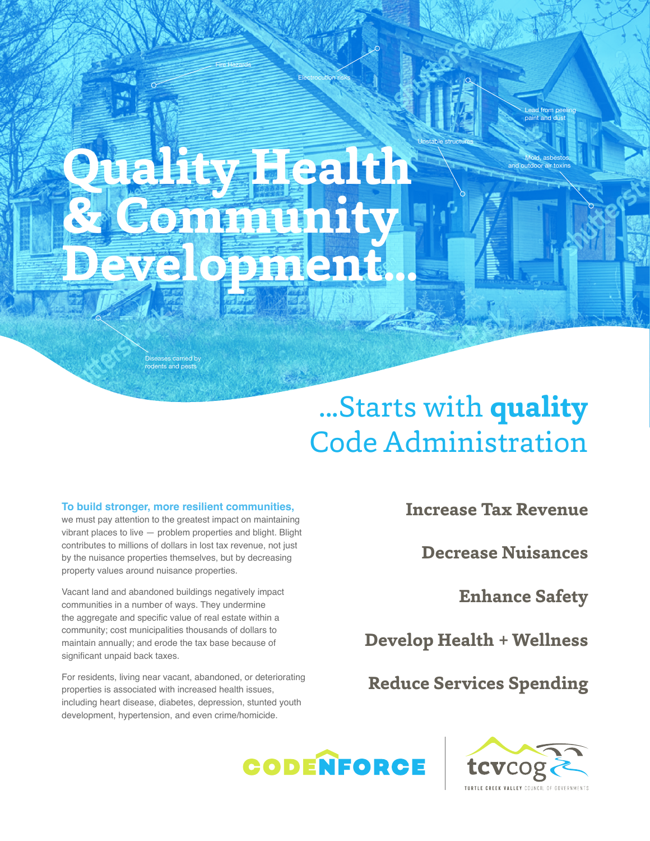# **Quality Health & Community Development...**

Fire Hazards

Electrocution risks

Diseases carried by rodents and pests

## ...Starts with **quality** Code Administration

Unstable structures

#### **To build stronger, more resilient communities,**

we must pay attention to the greatest impact on maintaining vibrant places to live — problem properties and blight. Blight contributes to millions of dollars in lost tax revenue, not just by the nuisance properties themselves, but by decreasing property values around nuisance properties.

Vacant land and abandoned buildings negatively impact communities in a number of ways. They undermine the aggregate and specific value of real estate within a community; cost municipalities thousands of dollars to maintain annually; and erode the tax base because of significant unpaid back taxes.

For residents, living near vacant, abandoned, or deteriorating properties is associated with increased health issues, including heart disease, diabetes, depression, stunted youth development, hypertension, and even crime/homicide.

**Increase Tax Revenue**

**Decrease Nuisances**

**Enhance Safety**

Mold, asbestos, butdoor air toxin

Lead from peeling paint and dus

**Develop Health + Wellness**

**Reduce Services Spending**